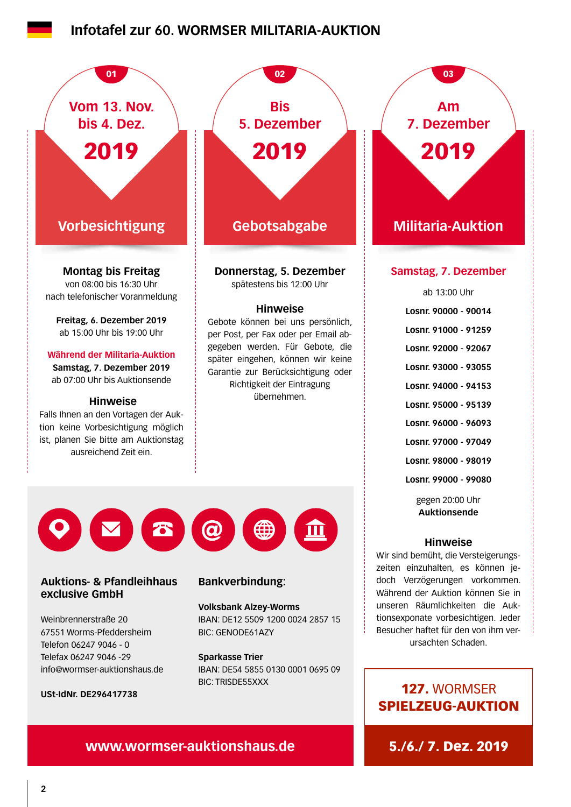# **[Infotafel zur 60. WORMSER MILITARIA-AUKTION](https://www.wormser-auktionshaus.de)**



## 127. WORMSER SPIELZEUG-AUKTION

## **www.wormser-auktionshaus.de** 5./6./ 7. Dez. 2019

BIC: TRISDE55XXX

**USt-IdNr. DE296417738**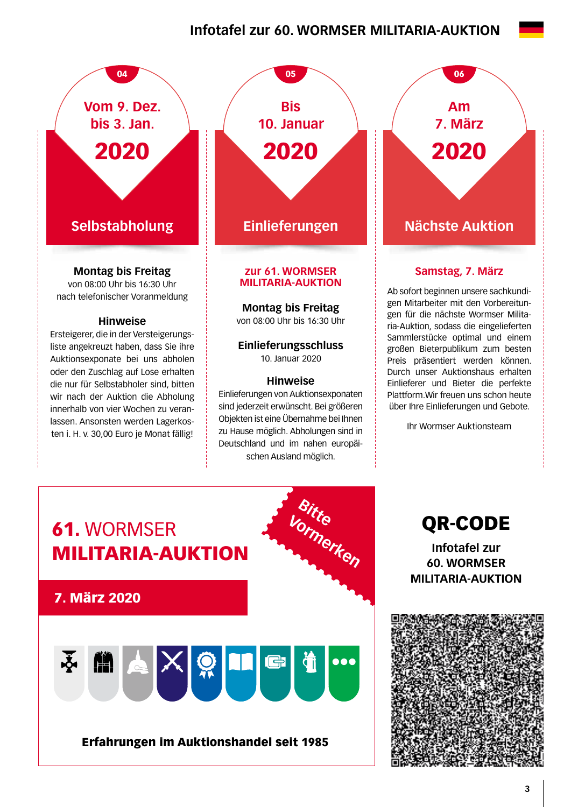# **Infotafel zur 60. WORMSER MILITARIA-AUKTION**



**Montag bis Freitag**

von 08:00 Uhr bis 16:30 Uhr nach telefonischer Voranmeldung

### **Hinweise**

Ersteigerer, die in der Versteigerungsliste angekreuzt haben, dass Sie ihre Auktionsexponate bei uns abholen oder den Zuschlag auf Lose erhalten die nur für Selbstabholer sind, bitten wir nach der Auktion die Abholung innerhalb von vier Wochen zu veranlassen. Ansonsten werden Lagerkosten i. H. v. 30,00 Euro je Monat fällig!



# **MILITARIA-AUKTION**

**Montag bis Freitag** 

von 08:00 Uhr bis 16:30 Uhr

### **Einlieferungsschluss**  10. Januar 2020

### **Hinweise**

Einlieferungen von Auktionsexponaten sind jederzeit erwünscht. Bei größeren Objekten ist eine Übernahme bei Ihnen zu Hause möglich. Abholungen sind in Deutschland und im nahen europäischen Ausland möglich.

**Am 7. März** 2020

### **Samstag, 7. März**

Ab sofort beginnen unsere sachkundigen Mitarbeiter mit den Vorbereitungen für die nächste Wormser Militaria-Auktion, sodass die eingelieferten Sammlerstücke optimal und einem großen Bieterpublikum zum besten Preis präsentiert werden können. Durch unser Auktionshaus erhalten Einlieferer und Bieter die perfekte Plattform.Wir freuen uns schon heute über Ihre Einlieferungen und Gebote.

Ihr Wormser Auktionsteam



QR-CODE

**Infotafel zur 60. WORMSER MILITARIA-AUKTION**

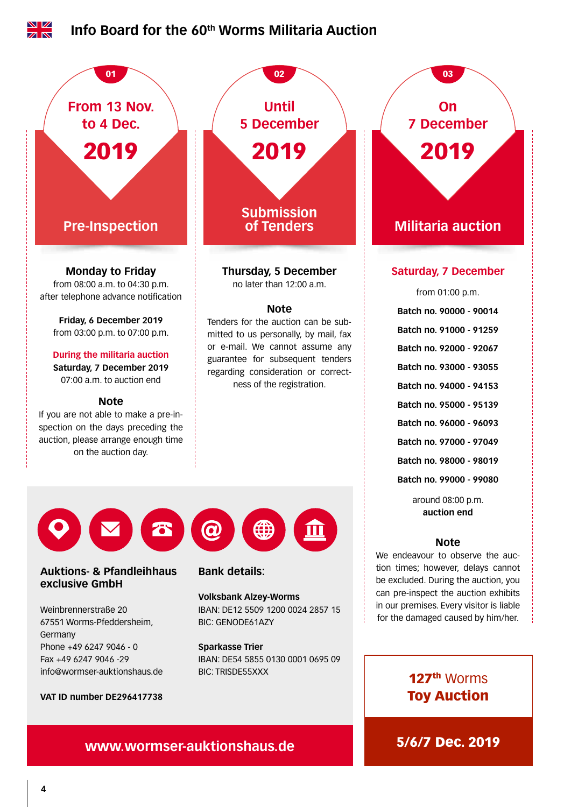

**www.wormser-auktionshaus.de 5/6/7 Dec. 2019**